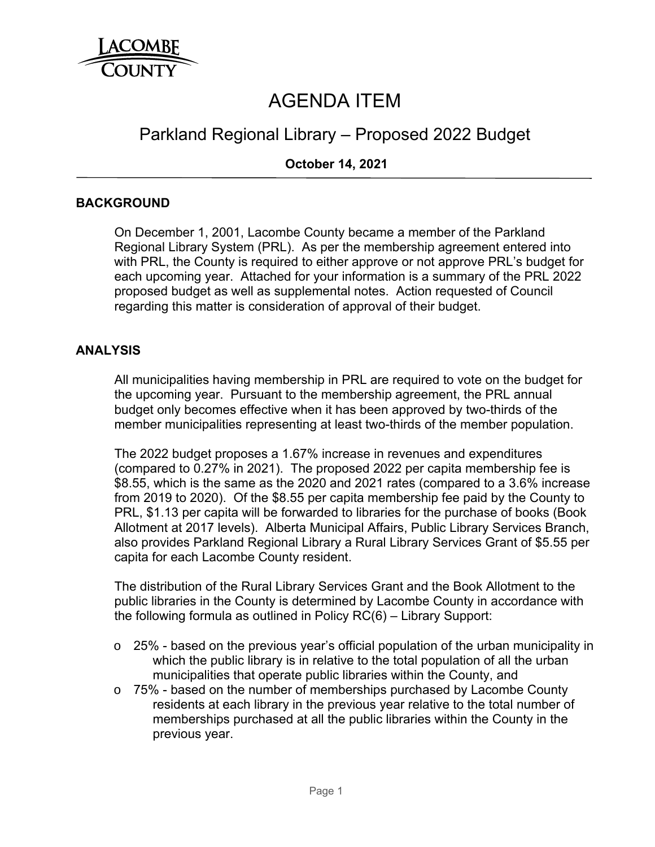

# AGENDA ITEM

# Parkland Regional Library – Proposed 2022 Budget

# **October 14, 2021**

# **BACKGROUND**

On December 1, 2001, Lacombe County became a member of the Parkland Regional Library System (PRL). As per the membership agreement entered into with PRL, the County is required to either approve or not approve PRL's budget for each upcoming year. Attached for your information is a summary of the PRL 2022 proposed budget as well as supplemental notes. Action requested of Council regarding this matter is consideration of approval of their budget.

#### **ANALYSIS**

All municipalities having membership in PRL are required to vote on the budget for the upcoming year. Pursuant to the membership agreement, the PRL annual budget only becomes effective when it has been approved by two-thirds of the member municipalities representing at least two-thirds of the member population.

The 2022 budget proposes a 1.67% increase in revenues and expenditures (compared to 0.27% in 2021). The proposed 2022 per capita membership fee is \$8.55, which is the same as the 2020 and 2021 rates (compared to a 3.6% increase from 2019 to 2020). Of the \$8.55 per capita membership fee paid by the County to PRL, \$1.13 per capita will be forwarded to libraries for the purchase of books (Book Allotment at 2017 levels). Alberta Municipal Affairs, Public Library Services Branch, also provides Parkland Regional Library a Rural Library Services Grant of \$5.55 per capita for each Lacombe County resident.

The distribution of the Rural Library Services Grant and the Book Allotment to the public libraries in the County is determined by Lacombe County in accordance with the following formula as outlined in Policy RC(6) – Library Support:

- $\circ$  25% based on the previous year's official population of the urban municipality in which the public library is in relative to the total population of all the urban municipalities that operate public libraries within the County, and
- o 75% based on the number of memberships purchased by Lacombe County residents at each library in the previous year relative to the total number of memberships purchased at all the public libraries within the County in the previous year.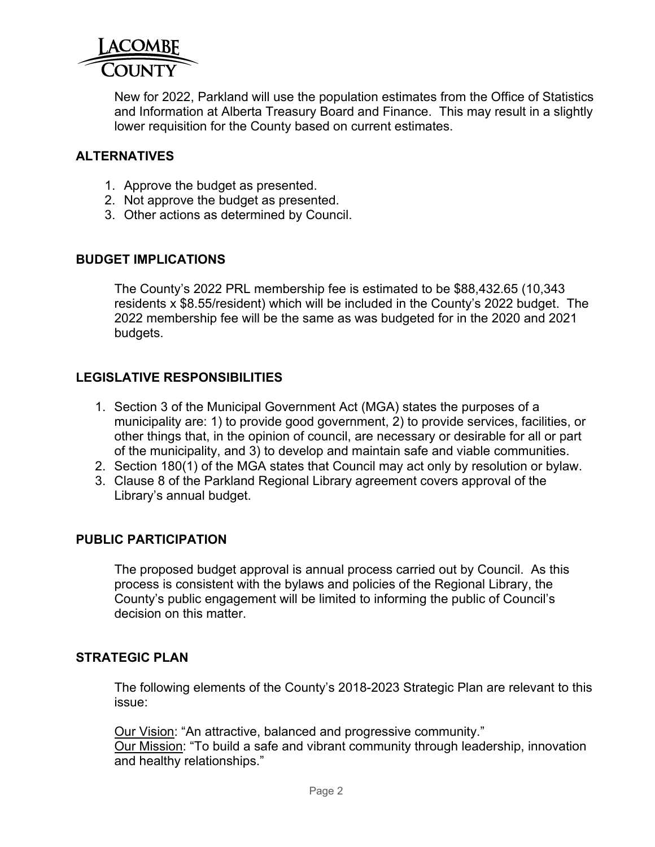

New for 2022, Parkland will use the population estimates from the Office of Statistics and Information at Alberta Treasury Board and Finance. This may result in a slightly lower requisition for the County based on current estimates.

# **ALTERNATIVES**

- 1. Approve the budget as presented.
- 2. Not approve the budget as presented.
- 3. Other actions as determined by Council.

#### **BUDGET IMPLICATIONS**

The County's 2022 PRL membership fee is estimated to be \$88,432.65 (10,343 residents x \$8.55/resident) which will be included in the County's 2022 budget. The 2022 membership fee will be the same as was budgeted for in the 2020 and 2021 budgets.

# **LEGISLATIVE RESPONSIBILITIES**

- 1. Section 3 of the Municipal Government Act (MGA) states the purposes of a municipality are: 1) to provide good government, 2) to provide services, facilities, or other things that, in the opinion of council, are necessary or desirable for all or part of the municipality, and 3) to develop and maintain safe and viable communities.
- 2. Section 180(1) of the MGA states that Council may act only by resolution or bylaw.
- 3. Clause 8 of the Parkland Regional Library agreement covers approval of the Library's annual budget.

### **PUBLIC PARTICIPATION**

The proposed budget approval is annual process carried out by Council. As this process is consistent with the bylaws and policies of the Regional Library, the County's public engagement will be limited to informing the public of Council's decision on this matter

#### **STRATEGIC PLAN**

The following elements of the County's 2018-2023 Strategic Plan are relevant to this issue:

Our Vision: "An attractive, balanced and progressive community." Our Mission: "To build a safe and vibrant community through leadership, innovation and healthy relationships."